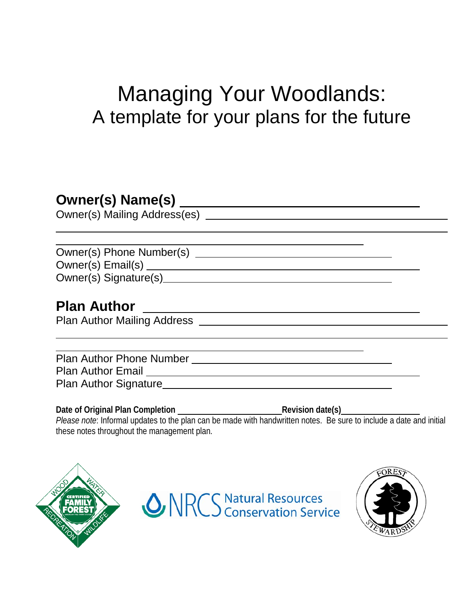# Managing Your Woodlands: A template for your plans for the future

# **Owner(s) Name(s)**

Owner(s) Mailing Address(es)

Owner(s) Phone Number(s) Owner(s) Email(s) Owner(s) Signature(s)

# **Plan Author**

Plan Author Mailing Address

Plan Author Phone Number Plan Author Email Plan Author Signature

**Date of Original Plan Completion Revision date(s)**

*Please note*: Informal updates to the plan can be made with handwritten notes. Be sure to include a date and initial these notes throughout the management plan.



**ONRCS** Natural Resources

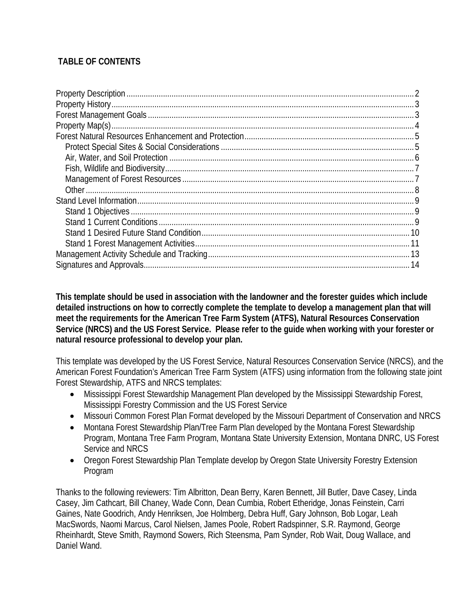#### **TABLE OF CONTENTS**

**This template should be used in association with the landowner and the forester guides which include detailed instructions on how to correctly complete the template to develop a management plan that will meet the requirements for the American Tree Farm System (ATFS), Natural Resources Conservation Service (NRCS) and the US Forest Service. Please refer to the guide when working with your forester or natural resource professional to develop your plan.** 

This template was developed by the US Forest Service, Natural Resources Conservation Service (NRCS), and the American Forest Foundation's American Tree Farm System (ATFS) using information from the following state joint Forest Stewardship, ATFS and NRCS templates:

- Mississippi Forest Stewardship Management Plan developed by the Mississippi Stewardship Forest, Mississippi Forestry Commission and the US Forest Service
- Missouri Common Forest Plan Format developed by the Missouri Department of Conservation and NRCS
- Montana Forest Stewardship Plan/Tree Farm Plan developed by the Montana Forest Stewardship Program, Montana Tree Farm Program, Montana State University Extension, Montana DNRC, US Forest Service and NRCS
- Oregon Forest Stewardship Plan Template develop by Oregon State University Forestry Extension Program

Thanks to the following reviewers: Tim Albritton, Dean Berry, Karen Bennett, Jill Butler, Dave Casey, Linda Casey, Jim Cathcart, Bill Chaney, Wade Conn, Dean Cumbia, Robert Etheridge, Jonas Feinstein, Carri Gaines, Nate Goodrich, Andy Henriksen, Joe Holmberg, Debra Huff, Gary Johnson, Bob Logar, Leah MacSwords, Naomi Marcus, Carol Nielsen, James Poole, Robert Radspinner, S.R. Raymond, George Rheinhardt, Steve Smith, Raymond Sowers, Rich Steensma, Pam Synder, Rob Wait, Doug Wallace, and Daniel Wand.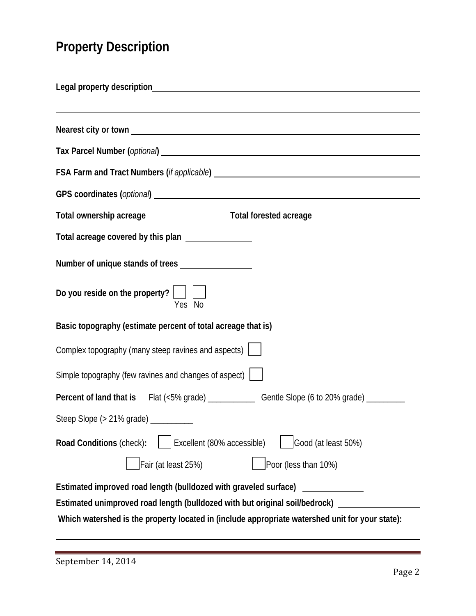# <span id="page-2-0"></span>**Property Description**

| GPS coordinates (optional) Subset of the Contract of the Contract of the Contract of the Contract of the Contract of the Contract of the Contract of the Contract of the Contract of the Contract of the Contract of the Contr                     |
|----------------------------------------------------------------------------------------------------------------------------------------------------------------------------------------------------------------------------------------------------|
|                                                                                                                                                                                                                                                    |
| Total acreage covered by this plan _______________                                                                                                                                                                                                 |
|                                                                                                                                                                                                                                                    |
| Do you reside on the property? $\Box$<br>Yes No                                                                                                                                                                                                    |
| Basic topography (estimate percent of total acreage that is)                                                                                                                                                                                       |
| Complex topography (many steep ravines and aspects) $\Box$                                                                                                                                                                                         |
| Simple topography (few ravines and changes of aspect)                                                                                                                                                                                              |
|                                                                                                                                                                                                                                                    |
| Steep Slope (> 21% grade) __________                                                                                                                                                                                                               |
| Excellent (80% accessible)<br>Good (at least 50%)<br>Road Conditions (check):                                                                                                                                                                      |
| Fair (at least 25%)<br>Poor (less than 10%)                                                                                                                                                                                                        |
| Estimated improved road length (bulldozed with graveled surface)<br>Estimated unimproved road length (bulldozed with but original soil/bedrock)<br>Which watershed is the property located in (include appropriate watershed unit for your state): |
|                                                                                                                                                                                                                                                    |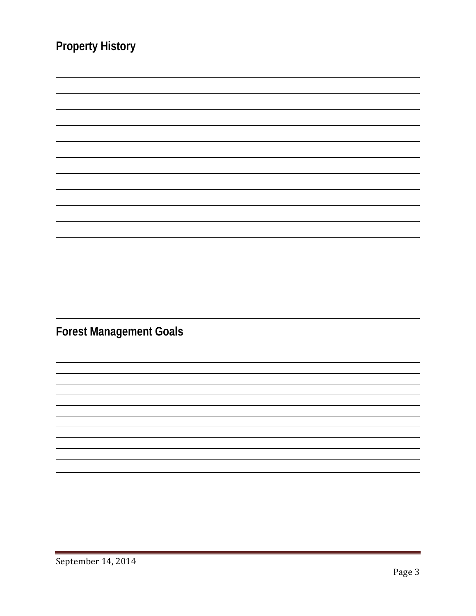<span id="page-3-1"></span><span id="page-3-0"></span>

| <b>Property History</b>        |
|--------------------------------|
|                                |
|                                |
|                                |
|                                |
|                                |
|                                |
|                                |
|                                |
|                                |
|                                |
|                                |
|                                |
|                                |
|                                |
|                                |
| <b>Forest Management Goals</b> |
|                                |
|                                |
|                                |
|                                |
|                                |
|                                |
|                                |
|                                |
|                                |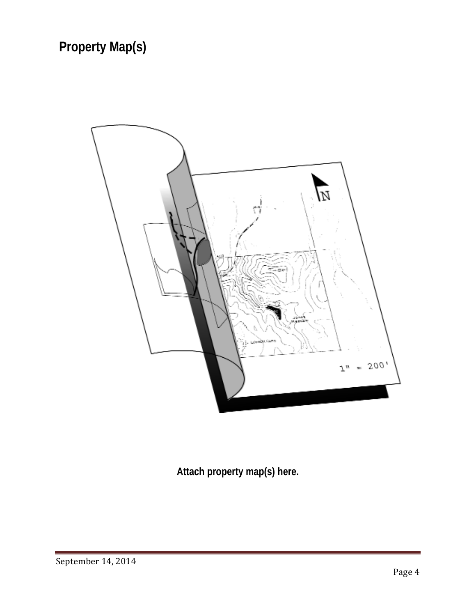<span id="page-4-0"></span>

**Attach property map(s) here.**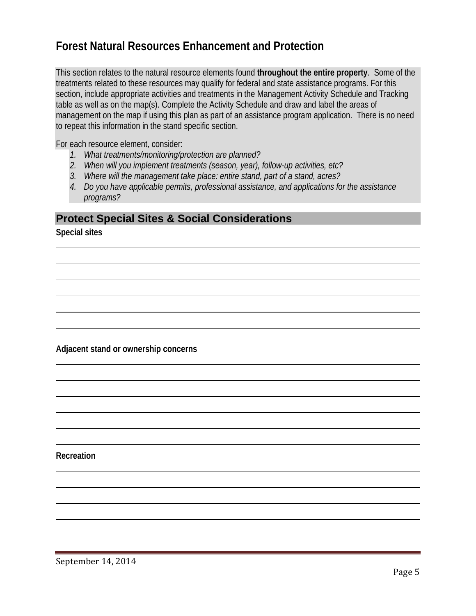## <span id="page-5-0"></span>**Forest Natural Resources Enhancement and Protection**

This section relates to the natural resource elements found **throughout the entire property**. Some of the treatments related to these resources may qualify for federal and state assistance programs. For this section, include appropriate activities and treatments in the Management Activity Schedule and Tracking table as well as on the map(s). Complete the Activity Schedule and draw and label the areas of management on the map if using this plan as part of an assistance program application. There is no need to repeat this information in the stand specific section.

For each resource element, consider:

- *1. What treatments/monitoring/protection are planned?*
- *2. When will you implement treatments (season, year), follow-up activities, etc?*
- *3. Where will the management take place: entire stand, part of a stand, acres?*
- *4. Do you have applicable permits, professional assistance, and applications for the assistance programs?*

#### <span id="page-5-1"></span>**Protect Special Sites & Social Considerations**

**Special sites**

**Adjacent stand or ownership concerns**

**Recreation**

September 14, 2014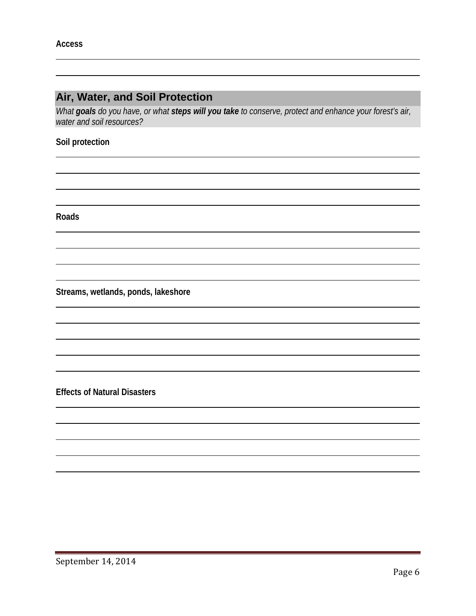### <span id="page-6-0"></span>**Air, Water, and Soil Protection**

*What goals do you have, or what steps will you take to conserve, protect and enhance your forest's air, water and soil resources?*

#### **Soil protection**

**Roads**

**Streams, wetlands, ponds, lakeshore** 

**Effects of Natural Disasters**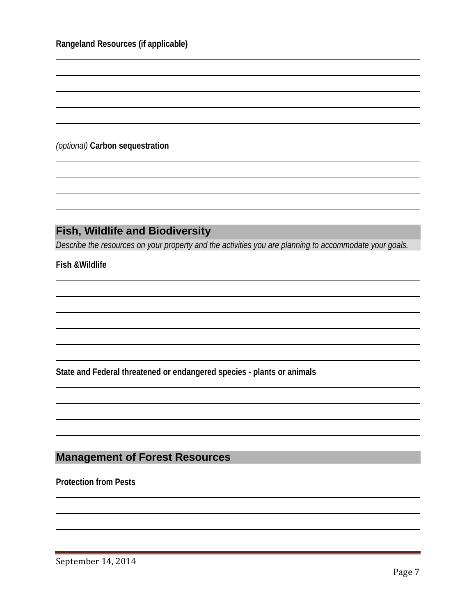*(optional)* **Carbon sequestration** 

### <span id="page-7-0"></span>**Fish, Wildlife and Biodiversity**

*Describe the resources on your property and the activities you are planning to accommodate your goals.* 

**Fish &Wildlife** 

**State and Federal threatened or endangered species - plants or animals**

#### <span id="page-7-1"></span>**Management of Forest Resources**

**Protection from Pests**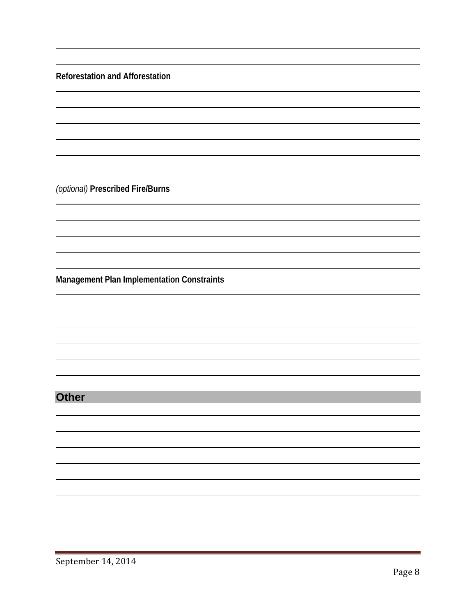**Reforestation and Afforestation**

*(optional)* **Prescribed Fire/Burns**

**Management Plan Implementation Constraints**

### <span id="page-8-0"></span>**Other**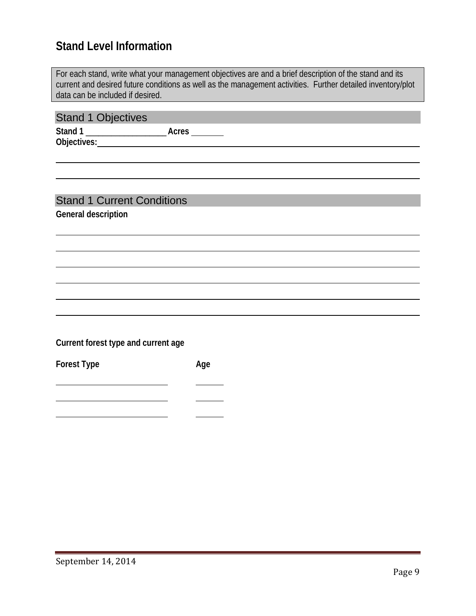# <span id="page-9-0"></span>**Stand Level Information**

<span id="page-9-2"></span><span id="page-9-1"></span>

| data can be included if desired.    | For each stand, write what your management objectives are and a brief description of the stand and its<br>current and desired future conditions as well as the management activities. Further detailed inventory/plot |
|-------------------------------------|-----------------------------------------------------------------------------------------------------------------------------------------------------------------------------------------------------------------------|
|                                     |                                                                                                                                                                                                                       |
| <b>Stand 1 Objectives</b>           |                                                                                                                                                                                                                       |
|                                     |                                                                                                                                                                                                                       |
|                                     |                                                                                                                                                                                                                       |
|                                     |                                                                                                                                                                                                                       |
|                                     |                                                                                                                                                                                                                       |
|                                     |                                                                                                                                                                                                                       |
|                                     |                                                                                                                                                                                                                       |
|                                     |                                                                                                                                                                                                                       |
| <b>Stand 1 Current Conditions</b>   |                                                                                                                                                                                                                       |
| <b>General description</b>          |                                                                                                                                                                                                                       |
|                                     |                                                                                                                                                                                                                       |
|                                     |                                                                                                                                                                                                                       |
|                                     |                                                                                                                                                                                                                       |
|                                     |                                                                                                                                                                                                                       |
|                                     |                                                                                                                                                                                                                       |
|                                     |                                                                                                                                                                                                                       |
|                                     |                                                                                                                                                                                                                       |
|                                     |                                                                                                                                                                                                                       |
|                                     |                                                                                                                                                                                                                       |
|                                     |                                                                                                                                                                                                                       |
| Current forest type and current age |                                                                                                                                                                                                                       |
|                                     |                                                                                                                                                                                                                       |
| <b>Forest Type</b>                  | Age                                                                                                                                                                                                                   |
|                                     |                                                                                                                                                                                                                       |
|                                     |                                                                                                                                                                                                                       |

<u> 1980 - Johann Barnett, fransk kongresu</u>

 $\overline{\phantom{0}}$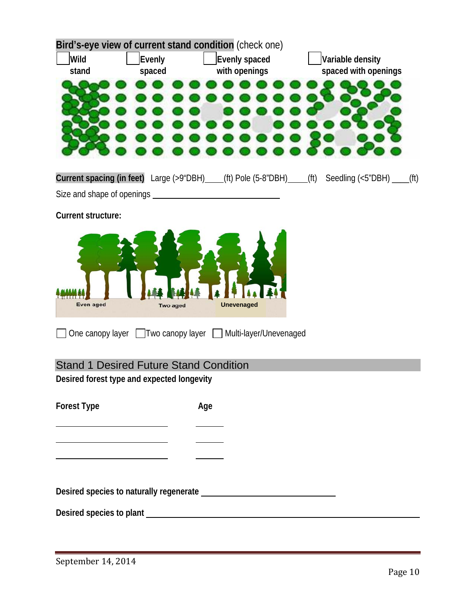<span id="page-10-0"></span>

|                           |                                               | Bird's-eye view of current stand condition (check one)       |                                                                                          |
|---------------------------|-----------------------------------------------|--------------------------------------------------------------|------------------------------------------------------------------------------------------|
| Wild                      | Evenly                                        | Evenly spaced                                                | Variable density                                                                         |
| stand                     | spaced                                        | with openings                                                | spaced with openings                                                                     |
|                           |                                               |                                                              |                                                                                          |
|                           |                                               |                                                              |                                                                                          |
|                           |                                               |                                                              |                                                                                          |
|                           |                                               |                                                              |                                                                                          |
|                           |                                               |                                                              |                                                                                          |
|                           |                                               |                                                              | Current spacing (in feet) Large (>9"DBH) (ft) Pole (5-8"DBH) (ft) Seedling (<5"DBH) (ft) |
|                           |                                               |                                                              |                                                                                          |
| <b>Current structure:</b> |                                               |                                                              |                                                                                          |
|                           |                                               |                                                              |                                                                                          |
|                           |                                               |                                                              |                                                                                          |
| 110000<br>Even aged       | Two aged                                      | <b>Unevenaged</b>                                            |                                                                                          |
|                           |                                               | One canopy layer □ Two canopy layer □ Multi-layer/Unevenaged |                                                                                          |
|                           | <b>Stand 1 Desired Future Stand Condition</b> |                                                              |                                                                                          |
|                           | Desired forest type and expected longevity    |                                                              |                                                                                          |
|                           |                                               |                                                              |                                                                                          |
| <b>Forest Type</b>        |                                               | Age                                                          |                                                                                          |
|                           |                                               |                                                              |                                                                                          |
|                           |                                               |                                                              |                                                                                          |
|                           |                                               |                                                              |                                                                                          |
|                           |                                               |                                                              |                                                                                          |
|                           |                                               |                                                              |                                                                                          |
|                           |                                               |                                                              |                                                                                          |
|                           |                                               |                                                              |                                                                                          |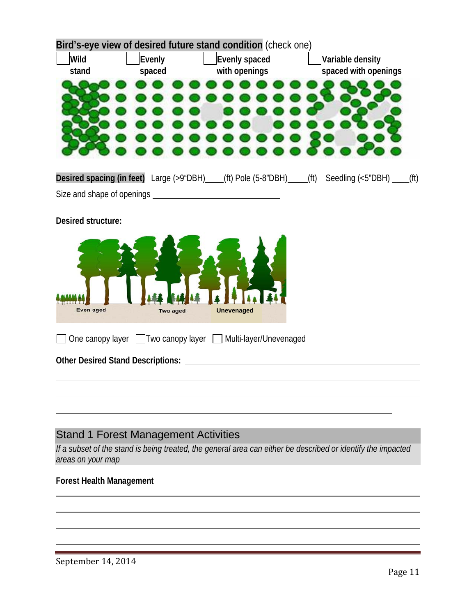|                                 |          | Bird's-eye view of desired future stand condition (check one) |                                                                                          |
|---------------------------------|----------|---------------------------------------------------------------|------------------------------------------------------------------------------------------|
| Wild                            | Evenly   | Evenly spaced                                                 | Variable density                                                                         |
| stand                           | spaced   | with openings                                                 | spaced with openings                                                                     |
|                                 |          |                                                               |                                                                                          |
|                                 |          |                                                               | Desired spacing (in feet) Large (>9"DBH) (ft) Pole (5-8"DBH) (ft) Seedling (<5"DBH) (ft) |
|                                 |          |                                                               |                                                                                          |
| Desired structure:<br>Even aged | Two aged | <b>Unevenaged</b>                                             |                                                                                          |
|                                 |          | One canopy layer □ Two canopy layer □ Multi-layer/Unevenaged  |                                                                                          |
|                                 |          |                                                               |                                                                                          |
|                                 |          |                                                               |                                                                                          |
|                                 |          |                                                               |                                                                                          |

## <span id="page-11-0"></span>Stand 1 Forest Management Activities

*If a subset of the stand is being treated, the general area can either be described or identify the impacted areas on your map*

#### **Forest Health Management**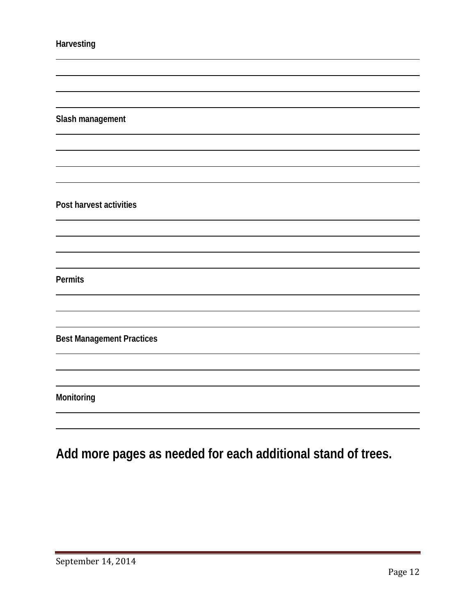|  | <b>Harvesting</b> |  |  |
|--|-------------------|--|--|
|  |                   |  |  |

**Slash management** 

**Post harvest activities**

**Permits**

**Best Management Practices** 

**Monitoring** 

**Add more pages as needed for each additional stand of trees.**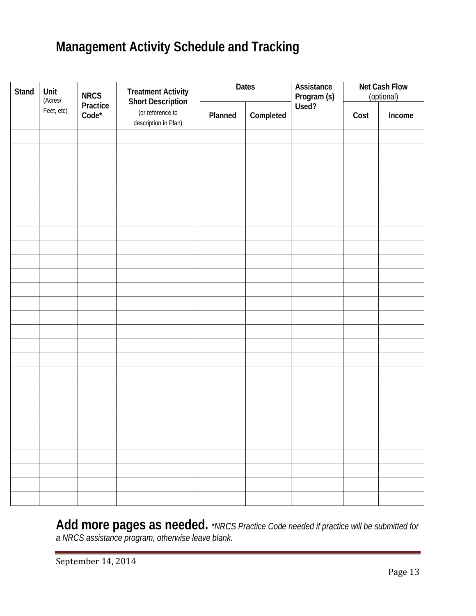# <span id="page-13-0"></span>**Management Activity Schedule and Tracking**

| Stand | Unit<br>(Acres/ | <b>NRCS</b>         | Treatment Activity<br>Short Description  | <b>Dates</b> |           | Assistance<br>Program (s)<br>Used? |      | <b>Net Cash Flow</b><br>(optional) |
|-------|-----------------|---------------------|------------------------------------------|--------------|-----------|------------------------------------|------|------------------------------------|
|       | Feet, etc)      | Practice<br>$Code*$ | (or reference to<br>description in Plan) | Planned      | Completed |                                    | Cost | Income                             |
|       |                 |                     |                                          |              |           |                                    |      |                                    |
|       |                 |                     |                                          |              |           |                                    |      |                                    |
|       |                 |                     |                                          |              |           |                                    |      |                                    |
|       |                 |                     |                                          |              |           |                                    |      |                                    |
|       |                 |                     |                                          |              |           |                                    |      |                                    |
|       |                 |                     |                                          |              |           |                                    |      |                                    |
|       |                 |                     |                                          |              |           |                                    |      |                                    |
|       |                 |                     |                                          |              |           |                                    |      |                                    |
|       |                 |                     |                                          |              |           |                                    |      |                                    |
|       |                 |                     |                                          |              |           |                                    |      |                                    |
|       |                 |                     |                                          |              |           |                                    |      |                                    |
|       |                 |                     |                                          |              |           |                                    |      |                                    |
|       |                 |                     |                                          |              |           |                                    |      |                                    |
|       |                 |                     |                                          |              |           |                                    |      |                                    |
|       |                 |                     |                                          |              |           |                                    |      |                                    |
|       |                 |                     |                                          |              |           |                                    |      |                                    |
|       |                 |                     |                                          |              |           |                                    |      |                                    |
|       |                 |                     |                                          |              |           |                                    |      |                                    |
|       |                 |                     |                                          |              |           |                                    |      |                                    |
|       |                 |                     |                                          |              |           |                                    |      |                                    |
|       |                 |                     |                                          |              |           |                                    |      |                                    |
|       |                 |                     |                                          |              |           |                                    |      |                                    |
|       |                 |                     |                                          |              |           |                                    |      |                                    |
|       |                 |                     |                                          |              |           |                                    |      |                                    |
|       |                 |                     |                                          |              |           |                                    |      |                                    |

**Add more pages as needed.** *\*NRCS Practice Code needed if practice will be submitted for a NRCS assistance program, otherwise leave blank.*